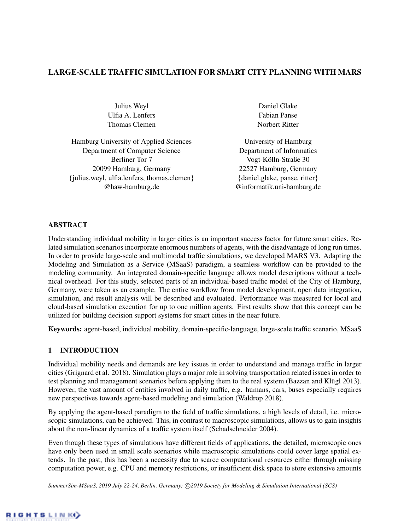## LARGE-SCALE TRAFFIC SIMULATION FOR SMART CITY PLANNING WITH MARS

Julius Weyl Ulfia A. Lenfers Thomas Clemen

Hamburg University of Applied Sciences Department of Computer Science Berliner Tor 7 20099 Hamburg, Germany {julius.weyl, ulfia.lenfers, thomas.clemen} @haw-hamburg.de

Daniel Glake Fabian Panse Norbert Ritter

University of Hamburg Department of Informatics Vogt-Kölln-Straße 30 22527 Hamburg, Germany {daniel.glake, panse, ritter} @informatik.uni-hamburg.de

## ABSTRACT

Understanding individual mobility in larger cities is an important success factor for future smart cities. Related simulation scenarios incorporate enormous numbers of agents, with the disadvantage of long run times. In order to provide large-scale and multimodal traffic simulations, we developed MARS V3. Adapting the Modeling and Simulation as a Service (MSaaS) paradigm, a seamless workflow can be provided to the modeling community. An integrated domain-specific language allows model descriptions without a technical overhead. For this study, selected parts of an individual-based traffic model of the City of Hamburg, Germany, were taken as an example. The entire workflow from model development, open data integration, simulation, and result analysis will be described and evaluated. Performance was measured for local and cloud-based simulation execution for up to one million agents. First results show that this concept can be utilized for building decision support systems for smart cities in the near future.

Keywords: agent-based, individual mobility, domain-specific-language, large-scale traffic scenario, MSaaS

## 1 INTRODUCTION

Individual mobility needs and demands are key issues in order to understand and manage traffic in larger cities [\(Grignard et al. 2018\)](#page-10-0). Simulation plays a major role in solving transportation related issues in order to test planning and management scenarios before applying them to the real system [\(Bazzan and Klügl 2013\)](#page-9-0). However, the vast amount of entities involved in daily traffic, e.g. humans, cars, buses especially requires new perspectives towards agent-based modeling and simulation [\(Waldrop 2018\)](#page-10-1).

By applying the agent-based paradigm to the field of traffic simulations, a high levels of detail, i.e. microscopic simulations, can be achieved. This, in contrast to macroscopic simulations, allows us to gain insights about the non-linear dynamics of a traffic system itself [\(Schadschneider 2004\)](#page-10-2).

Even though these types of simulations have different fields of applications, the detailed, microscopic ones have only been used in small scale scenarios while macroscopic simulations could cover large spatial extends. In the past, this has been a necessity due to scarce computational resources either through missing computation power, e.g. CPU and memory restrictions, or insufficient disk space to store extensive amounts

SummerSim-MSaaS, 2019 July 22-24, Berlin, Germany; ©2019 Society for Modeling & Simulation International (SCS)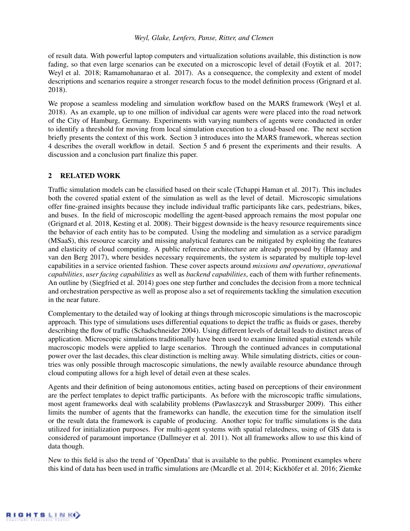of result data. With powerful laptop computers and virtualization solutions available, this distinction is now fading, so that even large scenarios can be executed on a microscopic level of detail (Foytik et al. 2017; Weyl et al. 2018; Ramamohanarao et al. 2017). As a consequence, the complexity and extent of model descriptions and scenarios require a stronger research focus to the model definition process [\(Grignard et al.](#page-10-0) [2018\)](#page-10-0).

We propose a seamless modeling and simulation workflow based on the MARS framework [\(Weyl et al.](#page-11-0) [2018\)](#page-11-0). As an example, up to one million of individual car agents were were placed into the road network of the City of Hamburg, Germany. Experiments with varying numbers of agents were conducted in order to identify a threshold for moving from local simulation execution to a cloud-based one. The next section briefly presents the context of this work. Section 3 introduces into the MARS framework, whereas section 4 describes the overall workflow in detail. Section 5 and 6 present the experiments and their results. A discussion and a conclusion part finalize this paper.

## 2 RELATED WORK

Traffic simulation models can be classified based on their scale [\(Tchappi Haman et al. 2017\)](#page-10-3). This includes both the covered spatial extent of the simulation as well as the level of detail. Microscopic simulations offer fine-grained insights because they include individual traffic participants like cars, pedestrians, bikes, and buses. In the field of microscopic modelling the agent-based approach remains the most popular one [\(Grignard et al. 2018,](#page-10-0) [Kesting et al. 2008\)](#page-10-4). Their biggest downside is the heavy resource requirements since the behavior of each entity has to be computed. Using the modeling and simulation as a service paradigm (MSaaS), this resource scarcity and missing analytical features can be mitigated by exploiting the features and elasticity of cloud computing. A public reference architecture are already proposed by [\(Hannay and](#page-10-5) [van den Berg 2017\)](#page-10-5), where besides necessary requirements, the system is separated by multiple top-level capabilities in a service oriented fashion. These cover aspects around *missions and operations*, *operational capabilities*, *user facing capabilities* as well as *backend capabilities*, each of them with further refinements. An outline by [\(Siegfried et al. 2014\)](#page-10-6) goes one step further and concludes the decision from a more technical and orchestration perspective as well as propose also a set of requirements tackling the simulation execution in the near future.

Complementary to the detailed way of looking at things through microscopic simulations is the macroscopic approach. This type of simulations uses differential equations to depict the traffic as fluids or gases, thereby describing the flow of traffic [\(Schadschneider 2004\)](#page-10-2). Using different levels of detail leads to distinct areas of application. Microscopic simulations traditionally have been used to examine limited spatial extends while macroscopic models were applied to large scenarios. Through the continued advances in computational power over the last decades, this clear distinction is melting away. While simulating districts, cities or countries was only possible through macroscopic simulations, the newly available resource abundance through cloud computing allows for a high level of detail even at these scales.

Agents and their definition of being autonomous entities, acting based on perceptions of their environment are the perfect templates to depict traffic participants. As before with the microscopic traffic simulations, most agent frameworks deal with scalability problems [\(Pawlaszczyk and Strassburger 2009\)](#page-10-7). This either limits the number of agents that the frameworks can handle, the execution time for the simulation itself or the result data the framework is capable of producing. Another topic for traffic simulations is the data utilized for initialization purposes. For multi-agent systems with spatial relatedness, using of GIS data is considered of paramount importance [\(Dallmeyer et al. 2011\)](#page-9-1). Not all frameworks allow to use this kind of data though.

New to this field is also the trend of 'OpenData' that is available to the public. Prominent examples where this kind of data has been used in traffic simulations are (Mcardle et al. 2014; Kickhöfer et al. 2016; Ziemke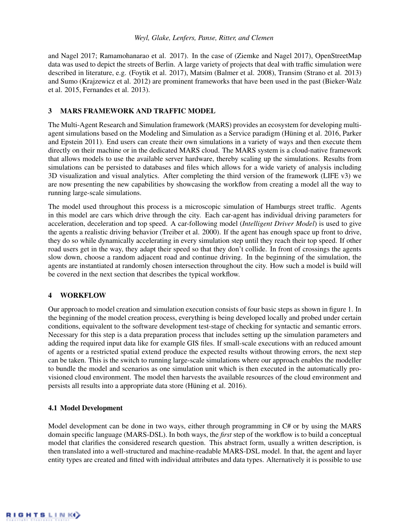and Nagel 2017; Ramamohanarao et al. 2017). In the case of [\(Ziemke and Nagel 2017\)](#page-11-1), OpenStreetMap data was used to depict the streets of Berlin. A large variety of projects that deal with traffic simulation were described in literature, e.g. [\(Foytik et al. 2017\)](#page-9-2), Matsim [\(Balmer et al. 2008\)](#page-9-3), Transim [\(Strano et al. 2013\)](#page-10-8) and Sumo [\(Krajzewicz et al. 2012\)](#page-10-9) are prominent frameworks that have been used in the past [\(Bieker-Walz](#page-9-4) [et al. 2015,](#page-9-4) [Fernandes et al. 2013\)](#page-9-5).

## 3 MARS FRAMEWORK AND TRAFFIC MODEL

The Multi-Agent Research and Simulation framework (MARS) provides an ecosystem for developing multiagent simulations based on the Modeling and Simulation as a Service paradigm [\(Hüning et al. 2016,](#page-10-10) [Parker](#page-10-11) [and Epstein 2011\)](#page-10-11). End users can create their own simulations in a variety of ways and then execute them directly on their machine or in the dedicated MARS cloud. The MARS system is a cloud-native framework that allows models to use the available server hardware, thereby scaling up the simulations. Results from simulations can be persisted to databases and files which allows for a wide variety of analysis including 3D visualization and visual analytics. After completing the third version of the framework (LIFE v3) we are now presenting the new capabilities by showcasing the workflow from creating a model all the way to running large-scale simulations.

The model used throughout this process is a microscopic simulation of Hamburgs street traffic. Agents in this model are cars which drive through the city. Each car-agent has individual driving parameters for acceleration, deceleration and top speed. A car-following model (*Intelligent Driver Model*) is used to give the agents a realistic driving behavior [\(Treiber et al. 2000\)](#page-10-12). If the agent has enough space up front to drive, they do so while dynamically accelerating in every simulation step until they reach their top speed. If other road users get in the way, they adapt their speed so that they don't collide. In front of crossings the agents slow down, choose a random adjacent road and continue driving. In the beginning of the simulation, the agents are instantiated at randomly chosen intersection throughout the city. How such a model is build will be covered in the next section that describes the typical workflow.

#### 4 WORKFLOW

Our approach to model creation and simulation execution consists of four basic steps as shown in figure [1.](#page-3-0) In the beginning of the model creation process, everything is being developed locally and probed under certain conditions, equivalent to the software development test-stage of checking for syntactic and semantic errors. Necessary for this step is a data preparation process that includes setting up the simulation parameters and adding the required input data like for example GIS files. If small-scale executions with an reduced amount of agents or a restricted spatial extend produce the expected results without throwing errors, the next step can be taken. This is the switch to running large-scale simulations where our approach enables the modeller to bundle the model and scenarios as one simulation unit which is then executed in the automatically provisioned cloud environment. The model then harvests the available resources of the cloud environment and persists all results into a appropriate data store [\(Hüning et al. 2016\)](#page-10-10).

## <span id="page-2-0"></span>4.1 Model Development

Model development can be done in two ways, either through programming in C# or by using the MARS domain specific language (MARS-DSL). In both ways, the *first* step of the workflow is to build a conceptual model that clarifies the considered research question. This abstract form, usually a written description, is then translated into a well-structured and machine-readable MARS-DSL model. In that, the agent and layer entity types are created and fitted with individual attributes and data types. Alternatively it is possible to use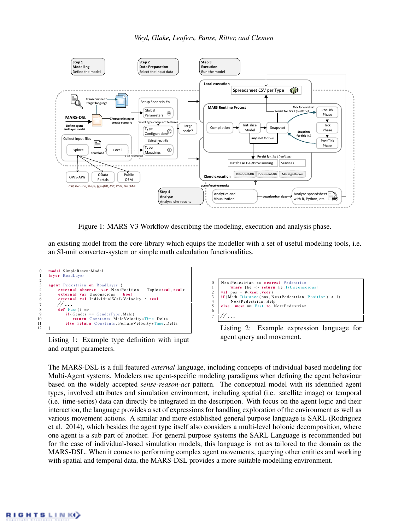

<span id="page-3-0"></span>Figure 1: MARS V3 Workflow describing the modeling, execution and analysis phase.

an existing model from the core-library which equips the modeller with a set of useful modeling tools, i.e. an SI-unit converter-system or simple math calculation functionalities.



<span id="page-3-1"></span>Listing 1: Example type definition with input and output parameters.

```
0 NextPedestrian := nearest Pedestrian
1 where [he => return he . Is Unconscious]<br>2 val pos = #(\text{xcor}, \text{vcor})2 val pos = #(\text{xcor}, \text{ycor})<br>3 if (Math Distance (pos N
\frac{3}{4} if (Math. Distance (pos, NextPedestrian. Position) < 1)
4 NextPedestrian. Help<br>5 else move me Fast to N
             move me Fast to NextPedestrian
6
7 //...
```
<span id="page-3-2"></span>Listing 2: Example expression language for agent query and movement.

The MARS-DSL is a full featured *external* language, including concepts of individual based modeling for Multi-Agent systems. Modelers use agent-specific modeling paradigms when defining the agent behaviour based on the widely accepted *sense-reason-act* pattern. The conceptual model with its identified agent types, involved attributes and simulation environment, including spatial (i.e. satellite image) or temporal (i.e. time-series) data can directly be integrated in the description. With focus on the agent logic and their interaction, the language provides a set of expressions for handling exploration of the environment as well as various movement actions. A similar and more established general purpose language is SARL [\(Rodriguez](#page-10-13) [et al. 2014\)](#page-10-13), which besides the agent type itself also considers a multi-level holonic decomposition, where one agent is a sub part of another. For general purpose systems the SARL Language is recommended but for the case of individual-based simulation models, this language is not as tailored to the domain as the MARS-DSL. When it comes to performing complex agent movements, querying other entities and working with spatial and temporal data, the MARS-DSL provides a more suitable modelling environment.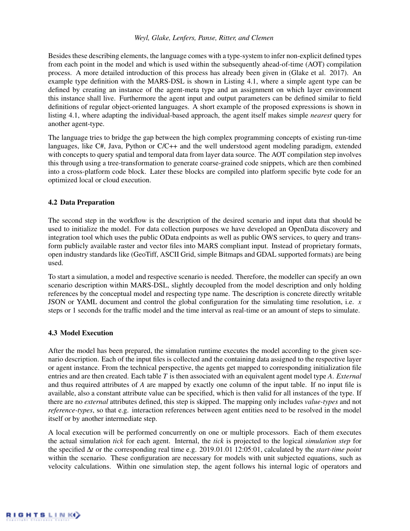Besides these describing elements, the language comes with a type-system to infer non-explicit defined types from each point in the model and which is used within the subsequently ahead-of-time (AOT) compilation process. A more detailed introduction of this process has already been given in [\(Glake et al. 2017\)](#page-10-14). An example type definition with the MARS-DSL is shown in Listing [4.1,](#page-3-1) where a simple agent type can be defined by creating an instance of the agent-meta type and an assignment on which layer environment this instance shall live. Furthermore the agent input and output parameters can be defined similar to field definitions of regular object-oriented languages. A short example of the proposed expressions is shown in listing [4.1,](#page-3-2) where adapting the individual-based approach, the agent itself makes simple *nearest* query for another agent-type.

The language tries to bridge the gap between the high complex programming concepts of existing run-time languages, like C#, Java, Python or C/C++ and the well understood agent modeling paradigm, extended with concepts to query spatial and temporal data from layer data source. The AOT compilation step involves this through using a tree-transformation to generate coarse-grained code snippets, which are then combined into a cross-platform code block. Later these blocks are compiled into platform specific byte code for an optimized local or cloud execution.

## 4.2 Data Preparation

The second step in the workflow is the description of the desired scenario and input data that should be used to initialize the model. For data collection purposes we have developed an OpenData discovery and integration tool which uses the public OData endpoints as well as public OWS services, to query and transform publicly available raster and vector files into MARS compliant input. Instead of proprietary formats, open industry standards like (GeoTiff, ASCII Grid, simple Bitmaps and GDAL supported formats) are being used.

To start a simulation, a model and respective scenario is needed. Therefore, the modeller can specify an own scenario description within MARS-DSL, slightly decoupled from the model description and only holding references by the conceptual model and respecting type name. The description is concrete directly writable JSON or YAML document and control the global configuration for the simulating time resolution, i.e. *x* steps or 1 seconds for the traffic model and the time interval as real-time or an amount of steps to simulate.

# 4.3 Model Execution

After the model has been prepared, the simulation runtime executes the model according to the given scenario description. Each of the input files is collected and the containing data assigned to the respective layer or agent instance. From the technical perspective, the agents get mapped to corresponding initialization file entries and are then created. Each table *T* is then associated with an equivalent agent model type *A*. *External* and thus required attributes of *A* are mapped by exactly one column of the input table. If no input file is available, also a constant attribute value can be specified, which is then valid for all instances of the type. If there are no *external* attributes defined, this step is skipped. The mapping only includes *value-types* and not *reference-types*, so that e.g. interaction references between agent entities need to be resolved in the model itself or by another intermediate step.

A local execution will be performed concurrently on one or multiple processors. Each of them executes the actual simulation *tick* for each agent. Internal, the *tick* is projected to the logical *simulation step* for the specified ∆*t* or the corresponding real time e.g. 2019.01.01 12:05:01, calculated by the *start-time point* within the scenario. These configuration are necessary for models with unit subjected equations, such as velocity calculations. Within one simulation step, the agent follows his internal logic of operators and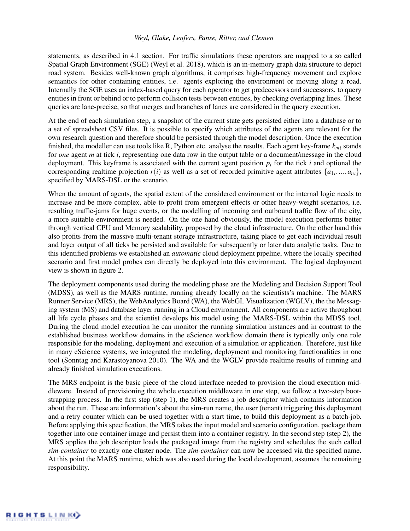statements, as described in [4.1](#page-2-0) section. For traffic simulations these operators are mapped to a so called Spatial Graph Environment (SGE) [\(Weyl et al. 2018\)](#page-11-0), which is an in-memory graph data structure to depict road system. Besides well-known graph algorithms, it comprises high-frequency movement and explore semantics for other containing entities, i.e. agents exploring the environment or moving along a road. Internally the SGE uses an index-based query for each operator to get predecessors and successors, to query entities in front or behind or to perform collision tests between entities, by checking overlapping lines. These queries are lane-precise, so that merges and branches of lanes are considered in the query execution.

At the end of each simulation step, a snapshot of the current state gets persisted either into a database or to a set of spreadsheet CSV files. It is possible to specify which attributes of the agents are relevant for the own research question and therefore should be persisted through the model description. Once the execution finished, the modeller can use tools like R, Python etc. analyse the results. Each agent key-frame *kmi* stands for *one* agent *m* at tick *i*, representing one data row in the output table or a document/message in the cloud deployment. This keyframe is associated with the current agent position  $p_i$  for the tick  $i$  and optional the corresponding realtime projection  $r(i)$  as well as a set of recorded primitive agent attributes  $\{a_{1i},...,a_{ni}\}$ , specified by MARS-DSL or the scenario.

When the amount of agents, the spatial extent of the considered environment or the internal logic needs to increase and be more complex, able to profit from emergent effects or other heavy-weight scenarios, i.e. resulting traffic-jams for huge events, or the modelling of incoming and outbound traffic flow of the city, a more suitable environment is needed. On the one hand obviously, the model execution performs better through vertical CPU and Memory scalability, proposed by the cloud infrastructure. On the other hand this also profits from the massive multi-tenant storage infrastructure, taking place to get each individual result and layer output of all ticks be persisted and available for subsequently or later data analytic tasks. Due to this identified problems we established an *automatic* cloud deployment pipeline, where the locally specified scenario and first model probes can directly be deployed into this environment. The logical deployment view is shown in figure [2.](#page-6-0)

The deployment components used during the modeling phase are the Modeling and Decision Support Tool (MDSS), as well as the MARS runtime, running already locally on the scientists's machine. The MARS Runner Service (MRS), the WebAnalytics Board (WA), the WebGL Visualization (WGLV), the the Messaging system (MS) and database layer running in a Cloud environment. All components are active throughout all life cycle phases and the scientist develops his model using the MARS-DSL within the MDSS tool. During the cloud model execution he can monitor the running simulation instances and in contrast to the established business workflow domains in the eScience workflow domain there is typically only one role responsible for the modeling, deployment and execution of a simulation or application. Therefore, just like in many eScience systems, we integrated the modeling, deployment and monitoring functionalities in one tool [\(Sonntag and Karastoyanova 2010\)](#page-10-15). The WA and the WGLV provide realtime results of running and already finished simulation executions.

The MRS endpoint is the basic piece of the cloud interface needed to provision the cloud execution middleware. Instead of provisioning the whole execution middleware in one step, we follow a two-step bootstrapping process. In the first step (step 1), the MRS creates a job descriptor which contains information about the run. These are information's about the sim-run name, the user (tenant) triggering this deployment and a retry counter which can be used together with a start time, to build this deployment as a batch-job. Before applying this specification, the MRS takes the input model and scenario configuration, package them together into one container image and persist them into a container registry. In the second step (step 2), the MRS applies the job descriptor loads the packaged image from the registry and schedules the such called *sim-container* to exactly one cluster node. The *sim-container* can now be accessed via the specified name. At this point the MARS runtime, which was also used during the local development, assumes the remaining responsibility.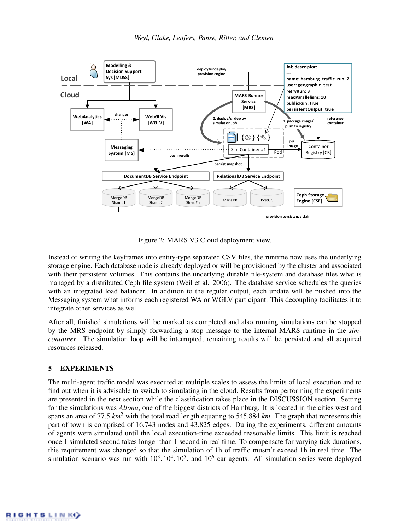

<span id="page-6-0"></span>Figure 2: MARS V3 Cloud deployment view.

Instead of writing the keyframes into entity-type separated CSV files, the runtime now uses the underlying storage engine. Each database node is already deployed or will be provisioned by the cluster and associated with their persistent volumes. This contains the underlying durable file-system and database files what is managed by a distributed Ceph file system [\(Weil et al. 2006\)](#page-11-2). The database service schedules the queries with an integrated load balancer. In addition to the regular output, each update will be pushed into the Messaging system what informs each registered WA or WGLV participant. This decoupling facilitates it to integrate other services as well.

After all, finished simulations will be marked as completed and also running simulations can be stopped by the MRS endpoint by simply forwarding a stop message to the internal MARS runtime in the *simcontainer*. The simulation loop will be interrupted, remaining results will be persisted and all acquired resources released.

#### 5 EXPERIMENTS

The multi-agent traffic model was executed at multiple scales to assess the limits of local execution and to find out when it is advisable to switch to simulating in the cloud. Results from performing the experiments are presented in the next section while the classification takes place in the [DISCUSSION](#page-7-0) section. Setting for the simulations was *Altona*, one of the biggest districts of Hamburg. It is located in the cities west and spans an area of 77.5 *km*<sup>2</sup> with the total road length equating to 545.884 *km*. The graph that represents this part of town is comprised of 16.743 nodes and 43.825 edges. During the experiments, different amounts of agents were simulated until the local execution-time exceeded reasonable limits. This limit is reached once 1 simulated second takes longer than 1 second in real time. To compensate for varying tick durations, this requirement was changed so that the simulation of 1h of traffic mustn't exceed 1h in real time. The simulation scenario was run with  $10^3, 10^4, 10^5$ , and  $10^6$  car agents. All simulation series were deployed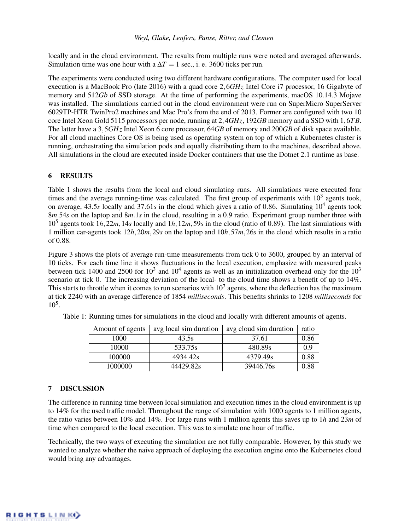locally and in the cloud environment. The results from multiple runs were noted and averaged afterwards. Simulation time was one hour with a  $\Delta T = 1$  sec., i. e. 3600 ticks per run.

The experiments were conducted using two different hardware configurations. The computer used for local execution is a MacBook Pro (late 2016) with a quad core 2,6*GHz* Intel Core i7 processor, 16 Gigabyte of memory and 512*Gb* of SSD storage. At the time of performing the experiments, macOS 10.14.3 Mojave was installed. The simulations carried out in the cloud environment were run on SuperMicro SuperServer 6029TP-HTR TwinPro2 machines and Mac Pro's from the end of 2013. Former are configured with two 10 core Intel Xeon Gold 5115 processors per node, running at 2,4*GHz*, 192*GB* memory and a SSD with 1,6*T B*. The latter have a 3,5*GHz* Intel Xeon 6 core processor, 64*GB* of memory and 200*GB* of disk space available. For all cloud machines Core OS is being used as operating system on top of which a Kubernetes cluster is running, orchestrating the simulation pods and equally distributing them to the machines, described above. All simulations in the cloud are executed inside Docker containers that use the Dotnet 2.1 runtime as base.

## 6 RESULTS

Table [1](#page-7-1) shows the results from the local and cloud simulating runs. All simulations were executed four times and the average running-time was calculated. The first group of experiments with  $10<sup>3</sup>$  agents took, on average, 43.5*s* locally and 37.61*s* in the cloud which gives a ratio of 0.86. Simulating 10<sup>4</sup> agents took 8*m*.54*s* on the laptop and 8*m*.1*s* in the cloud, resulting in a 0.9 ratio. Experiment group number three with 10<sup>5</sup> agents took 1*h*,22*m*,14*s* locally and 1*h*,12*m*,59*s* in the cloud (ratio of 0.89). The last simulations with 1 million car-agents took 12*h*,20*m*,29*s* on the laptop and 10*h*,57*m*,26*s* in the cloud which results in a ratio of 0.88.

Figure [3](#page-8-0) shows the plots of average run-time measurements from tick 0 to 3600, grouped by an interval of 10 ticks. For each time line it shows fluctuations in the local execution, emphasize with measured peaks between tick 1400 and 2500 for  $10^3$  and  $10^4$  agents as well as an initialization overhead only for the  $10^3$ scenario at tick 0. The increasing deviation of the local- to the cloud time shows a benefit of up to 14%. This starts to throttle when it comes to run scenarios with  $10<sup>7</sup>$  agents, where the deflection has the maximum at tick 2240 with an average difference of 1854 *milliseconds*. This benefits shrinks to 1208 *milliseconds* for 10<sup>5</sup> .

<span id="page-7-1"></span>

| Amount of agents | avg local sim duration | avg cloud sim duration | ratio |
|------------------|------------------------|------------------------|-------|
| 1000             | 43.5s                  | 37.61                  | 0.86  |
| 10000            | 533.75s                | 480.89s                | 0.9   |
| 100000           | 4934.42s               | 4379.49s               | 0.88  |
| 1000000          | 44429.82s              | 39446.76s              | 0.88  |

Table 1: Running times for simulations in the cloud and locally with different amounts of agents.

#### <span id="page-7-0"></span>7 DISCUSSION

The difference in running time between local simulation and execution times in the cloud environment is up to 14% for the used traffic model. Throughout the range of simulation with 1000 agents to 1 million agents, the ratio varies between 10% and 14%. For large runs with 1 million agents this saves up to 1*h* and 23*m* of time when compared to the local execution. This was to simulate one hour of traffic.

Technically, the two ways of executing the simulation are not fully comparable. However, by this study we wanted to analyze whether the naive approach of deploying the execution engine onto the Kubernetes cloud would bring any advantages.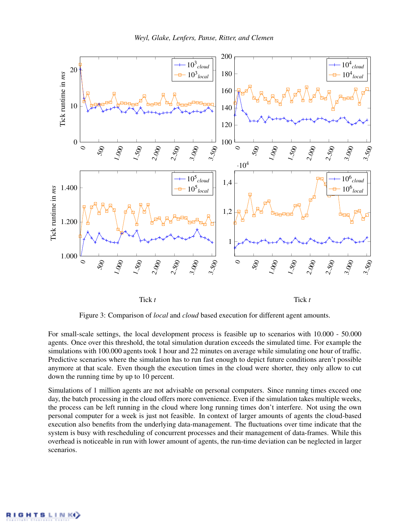

<span id="page-8-0"></span>Figure 3: Comparison of *local* and *cloud* based execution for different agent amounts.

For small-scale settings, the local development process is feasible up to scenarios with 10.000 - 50.000 agents. Once over this threshold, the total simulation duration exceeds the simulated time. For example the simulations with 100.000 agents took 1 hour and 22 minutes on average while simulating one hour of traffic. Predictive scenarios where the simulation has to run fast enough to depict future conditions aren't possible anymore at that scale. Even though the execution times in the cloud were shorter, they only allow to cut down the running time by up to 10 percent.

Simulations of 1 million agents are not advisable on personal computers. Since running times exceed one day, the batch processing in the cloud offers more convenience. Even if the simulation takes multiple weeks, the process can be left running in the cloud where long running times don't interfere. Not using the own personal computer for a week is just not feasible. In context of larger amounts of agents the cloud-based execution also benefits from the underlying data-management. The fluctuations over time indicate that the system is busy with rescheduling of concurrent processes and their management of data-frames. While this overhead is noticeable in run with lower amount of agents, the run-time deviation can be neglected in larger scenarios.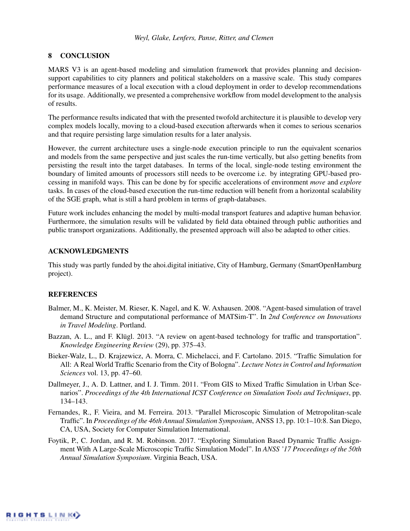## 8 CONCLUSION

MARS V3 is an agent-based modeling and simulation framework that provides planning and decisionsupport capabilities to city planners and political stakeholders on a massive scale. This study compares performance measures of a local execution with a cloud deployment in order to develop recommendations for its usage. Additionally, we presented a comprehensive workflow from model development to the analysis of results.

The performance results indicated that with the presented twofold architecture it is plausible to develop very complex models locally, moving to a cloud-based execution afterwards when it comes to serious scenarios and that require persisting large simulation results for a later analysis.

However, the current architecture uses a single-node execution principle to run the equivalent scenarios and models from the same perspective and just scales the run-time vertically, but also getting benefits from persisting the result into the target databases. In terms of the local, single-node testing environment the boundary of limited amounts of processors still needs to be overcome i.e. by integrating GPU-based processing in manifold ways. This can be done by for specific accelerations of environment *move* and *explore* tasks. In cases of the cloud-based execution the run-time reduction will benefit from a horizontal scalability of the SGE graph, what is still a hard problem in terms of graph-databases.

Future work includes enhancing the model by multi-modal transport features and adaptive human behavior. Furthermore, the simulation results will be validated by field data obtained through public authorities and public transport organizations. Additionally, the presented approach will also be adapted to other cities.

## ACKNOWLEDGMENTS

This study was partly funded by the ahoi.digital initiative, City of Hamburg, Germany (SmartOpenHamburg project).

#### **REFERENCES**

- <span id="page-9-3"></span>Balmer, M., K. Meister, M. Rieser, K. Nagel, and K. W. Axhausen. 2008. "Agent-based simulation of travel demand Structure and computational performance of MATSim-T". In *2nd Conference on Innovations in Travel Modeling*. Portland.
- <span id="page-9-0"></span>Bazzan, A. L., and F. Klügl. 2013. "A review on agent-based technology for traffic and transportation". *Knowledge Engineering Review* (29), pp. 375–43.
- <span id="page-9-4"></span>Bieker-Walz, L., D. Krajzewicz, A. Morra, C. Michelacci, and F. Cartolano. 2015. "Traffic Simulation for All: A Real World Traffic Scenario from the City of Bologna". *Lecture Notes in Control and Information Sciences* vol. 13, pp. 47–60.
- <span id="page-9-1"></span>Dallmeyer, J., A. D. Lattner, and I. J. Timm. 2011. "From GIS to Mixed Traffic Simulation in Urban Scenarios". *Proceedings of the 4th International ICST Conference on Simulation Tools and Techniques*, pp. 134–143.
- <span id="page-9-5"></span>Fernandes, R., F. Vieira, and M. Ferreira. 2013. "Parallel Microscopic Simulation of Metropolitan-scale Traffic". In *Proceedings of the 46th Annual Simulation Symposium*, ANSS 13, pp. 10:1–10:8. San Diego, CA, USA, Society for Computer Simulation International.
- <span id="page-9-2"></span>Foytik, P., C. Jordan, and R. M. Robinson. 2017. "Exploring Simulation Based Dynamic Traffic Assignment With A Large-Scale Microscopic Traffic Simulation Model". In *ANSS '17 Proceedings of the 50th Annual Simulation Symposium*. Virginia Beach, USA.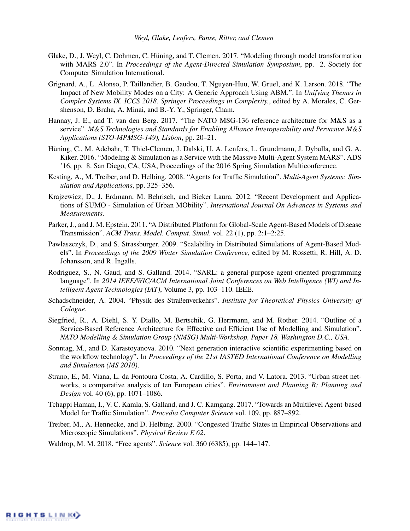- <span id="page-10-14"></span>Glake, D., J. Weyl, C. Dohmen, C. Hüning, and T. Clemen. 2017. "Modeling through model transformation with MARS 2.0". In *Proceedings of the Agent-Directed Simulation Symposium*, pp. 2. Society for Computer Simulation International.
- <span id="page-10-0"></span>Grignard, A., L. Alonso, P. Taillandier, B. Gaudou, T. Nguyen-Huu, W. Gruel, and K. Larson. 2018. "The Impact of New Mobility Modes on a City: A Generic Approach Using ABM.". In *Unifying Themes in Complex Systems IX. ICCS 2018. Springer Proceedings in Complexity.*, edited by A. Morales, C. Gershenson, D. Braha, A. Minai, and B.-Y. Y., Springer, Cham.
- <span id="page-10-5"></span>Hannay, J. E., and T. van den Berg. 2017. "The NATO MSG-136 reference architecture for M&S as a service". *M&S Technologies and Standards for Enabling Alliance Interoperability and Pervasive M&S Applications (STO-MPMSG-149), Lisbon*, pp. 20–21.
- <span id="page-10-10"></span>Hüning, C., M. Adebahr, T. Thiel-Clemen, J. Dalski, U. A. Lenfers, L. Grundmann, J. Dybulla, and G. A. Kiker. 2016. "Modeling & Simulation as a Service with the Massive Multi-Agent System MARS". ADS '16, pp. 8. San Diego, CA, USA, Proceedings of the 2016 Spring Simulation Multiconference.
- <span id="page-10-4"></span>Kesting, A., M. Treiber, and D. Helbing. 2008. "Agents for Traffic Simulation". *Multi-Agent Systems: Simulation and Applications*, pp. 325–356.
- <span id="page-10-9"></span>Krajzewicz, D., J. Erdmann, M. Behrisch, and Bieker Laura. 2012. "Recent Development and Applications of SUMO - Simulation of Urban MObility". *International Journal On Advances in Systems and Measurements*.
- <span id="page-10-11"></span>Parker, J., and J. M. Epstein. 2011. "A Distributed Platform for Global-Scale Agent-Based Models of Disease Transmission". *ACM Trans. Model. Comput. Simul.* vol. 22 (1), pp. 2:1–2:25.
- <span id="page-10-7"></span>Pawlaszczyk, D., and S. Strassburger. 2009. "Scalability in Distributed Simulations of Agent-Based Models". In *Proceedings of the 2009 Winter Simulation Conference*, edited by M. Rossetti, R. Hill, A. D. Johansson, and R. Ingalls.
- <span id="page-10-13"></span>Rodriguez, S., N. Gaud, and S. Galland. 2014. "SARL: a general-purpose agent-oriented programming language". In *2014 IEEE/WIC/ACM International Joint Conferences on Web Intelligence (WI) and Intelligent Agent Technologies (IAT)*, Volume 3, pp. 103–110. IEEE.
- <span id="page-10-2"></span>Schadschneider, A. 2004. "Physik des Straßenverkehrs". *Institute for Theoretical Physics University of Cologne*.
- <span id="page-10-6"></span>Siegfried, R., A. Diehl, S. Y. Diallo, M. Bertschik, G. Herrmann, and M. Rother. 2014. "Outline of a Service-Based Reference Architecture for Effective and Efficient Use of Modelling and Simulation". *NATO Modelling & Simulation Group (NMSG) Multi-Workshop, Paper 18, Washington D.C., USA*.
- <span id="page-10-15"></span>Sonntag, M., and D. Karastoyanova. 2010. "Next generation interactive scientific experimenting based on the workflow technology". In *Proceedings of the 21st IASTED International Conference on Modelling and Simulation (MS 2010)*.
- <span id="page-10-8"></span>Strano, E., M. Viana, L. da Fontoura Costa, A. Cardillo, S. Porta, and V. Latora. 2013. "Urban street networks, a comparative analysis of ten European cities". *Environment and Planning B: Planning and Design* vol. 40 (6), pp. 1071–1086.
- <span id="page-10-3"></span>Tchappi Haman, I., V. C. Kamla, S. Galland, and J. C. Kamgang. 2017. "Towards an Multilevel Agent-based Model for Traffic Simulation". *Procedia Computer Science* vol. 109, pp. 887–892.
- <span id="page-10-12"></span>Treiber, M., A. Hennecke, and D. Helbing. 2000. "Congested Traffic States in Empirical Observations and Microscopic Simulations". *Physical Review E 62*.
- <span id="page-10-1"></span>Waldrop, M. M. 2018. "Free agents". *Science* vol. 360 (6385), pp. 144–147.